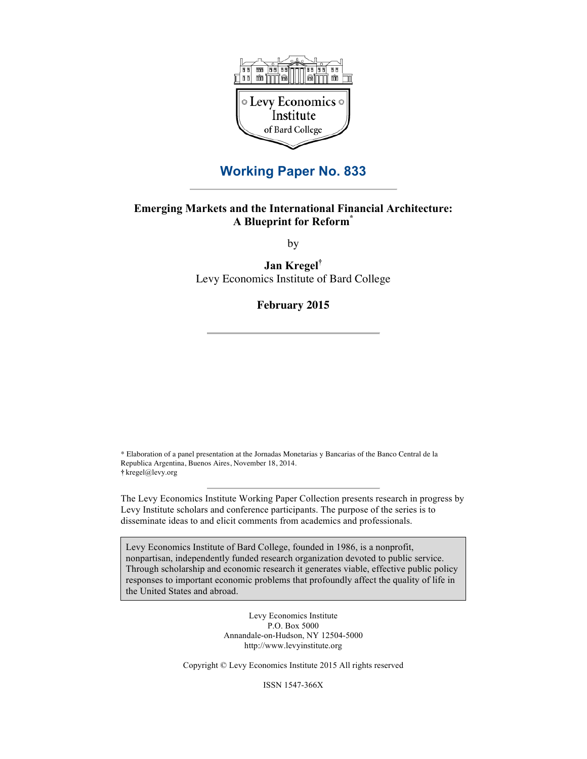

# **Working Paper No. 833**

# **Emerging Markets and the International Financial Architecture: A Blueprint for Reform\***

by

**Jan Kregel†** Levy Economics Institute of Bard College

**February 2015**

\* Elaboration of a panel presentation at the Jornadas Monetarias y Bancarias of the Banco Central de la Republica Argentina, Buenos Aires, November 18, 2014. **†** kregel@levy.org

The Levy Economics Institute Working Paper Collection presents research in progress by Levy Institute scholars and conference participants. The purpose of the series is to disseminate ideas to and elicit comments from academics and professionals.

Levy Economics Institute of Bard College, founded in 1986, is a nonprofit, nonpartisan, independently funded research organization devoted to public service. Through scholarship and economic research it generates viable, effective public policy responses to important economic problems that profoundly affect the quality of life in the United States and abroad.

> Levy Economics Institute P.O. Box 5000 Annandale-on-Hudson, NY 12504-5000 http://www.levyinstitute.org

Copyright © Levy Economics Institute 2015 All rights reserved

ISSN 1547-366X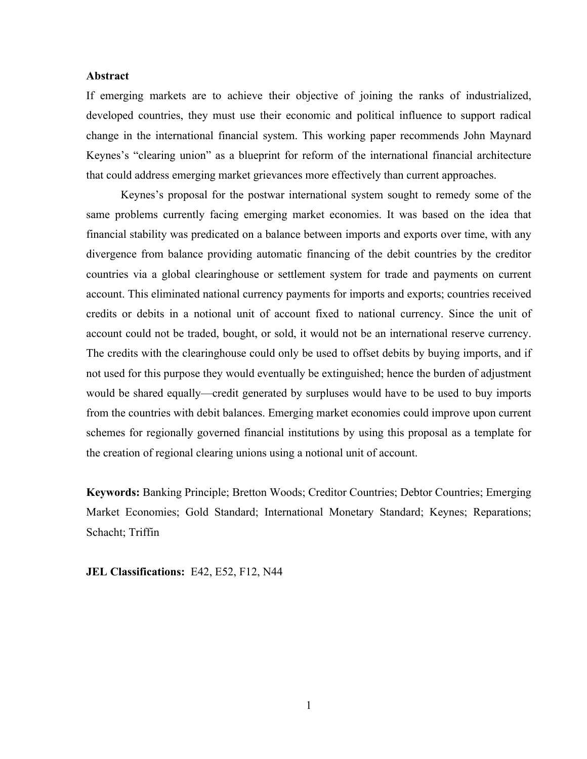# **Abstract**

If emerging markets are to achieve their objective of joining the ranks of industrialized, developed countries, they must use their economic and political influence to support radical change in the international financial system. This working paper recommends John Maynard Keynes's "clearing union" as a blueprint for reform of the international financial architecture that could address emerging market grievances more effectively than current approaches.

Keynes's proposal for the postwar international system sought to remedy some of the same problems currently facing emerging market economies. It was based on the idea that financial stability was predicated on a balance between imports and exports over time, with any divergence from balance providing automatic financing of the debit countries by the creditor countries via a global clearinghouse or settlement system for trade and payments on current account. This eliminated national currency payments for imports and exports; countries received credits or debits in a notional unit of account fixed to national currency. Since the unit of account could not be traded, bought, or sold, it would not be an international reserve currency. The credits with the clearinghouse could only be used to offset debits by buying imports, and if not used for this purpose they would eventually be extinguished; hence the burden of adjustment would be shared equally—credit generated by surpluses would have to be used to buy imports from the countries with debit balances. Emerging market economies could improve upon current schemes for regionally governed financial institutions by using this proposal as a template for the creation of regional clearing unions using a notional unit of account.

**Keywords:** Banking Principle; Bretton Woods; Creditor Countries; Debtor Countries; Emerging Market Economies; Gold Standard; International Monetary Standard; Keynes; Reparations; Schacht; Triffin

**JEL Classifications:** E42, E52, F12, N44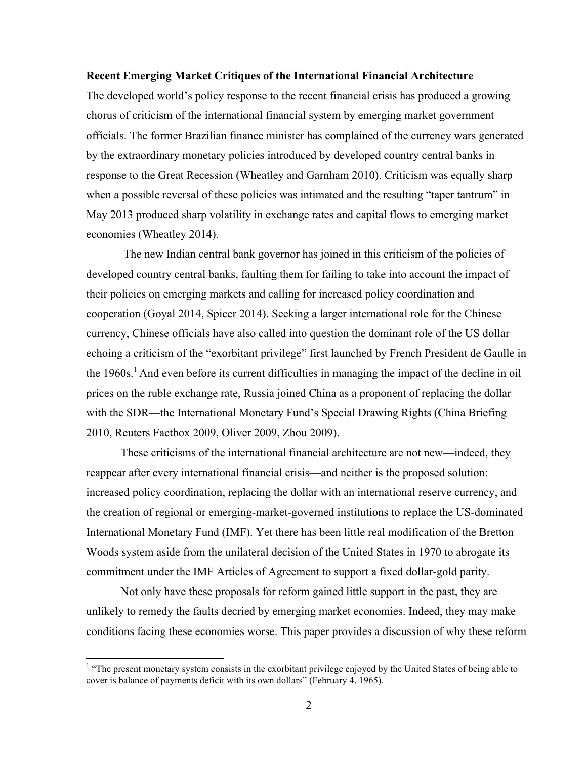#### **Recent Emerging Market Critiques of the International Financial Architecture**

The developed world's policy response to the recent financial crisis has produced a growing chorus of criticism of the international financial system by emerging market government officials. The former Brazilian finance minister has complained of the currency wars generated by the extraordinary monetary policies introduced by developed country central banks in response to the Great Recession (Wheatley and Garnham 2010). Criticism was equally sharp when a possible reversal of these policies was intimated and the resulting "taper tantrum" in May 2013 produced sharp volatility in exchange rates and capital flows to emerging market economies (Wheatley 2014).

The new Indian central bank governor has joined in this criticism of the policies of developed country central banks, faulting them for failing to take into account the impact of their policies on emerging markets and calling for increased policy coordination and cooperation (Goyal 2014, Spicer 2014). Seeking a larger international role for the Chinese currency, Chinese officials have also called into question the dominant role of the US dollar echoing a criticism of the "exorbitant privilege" first launched by French President de Gaulle in the 1960s.<sup>1</sup> And even before its current difficulties in managing the impact of the decline in oil prices on the ruble exchange rate, Russia joined China as a proponent of replacing the dollar with the SDR—the International Monetary Fund's Special Drawing Rights (China Briefing 2010, Reuters Factbox 2009, Oliver 2009, Zhou 2009).

These criticisms of the international financial architecture are not new—indeed, they reappear after every international financial crisis—and neither is the proposed solution: increased policy coordination, replacing the dollar with an international reserve currency, and the creation of regional or emerging-market-governed institutions to replace the US-dominated International Monetary Fund (IMF). Yet there has been little real modification of the Bretton Woods system aside from the unilateral decision of the United States in 1970 to abrogate its commitment under the IMF Articles of Agreement to support a fixed dollar-gold parity.

Not only have these proposals for reform gained little support in the past, they are unlikely to remedy the faults decried by emerging market economies. Indeed, they may make conditions facing these economies worse. This paper provides a discussion of why these reform

<sup>&</sup>lt;sup>1</sup> "The present monetary system consists in the exorbitant privilege enjoyed by the United States of being able to cover is balance of payments deficit with its own dollars" (February 4, 1965).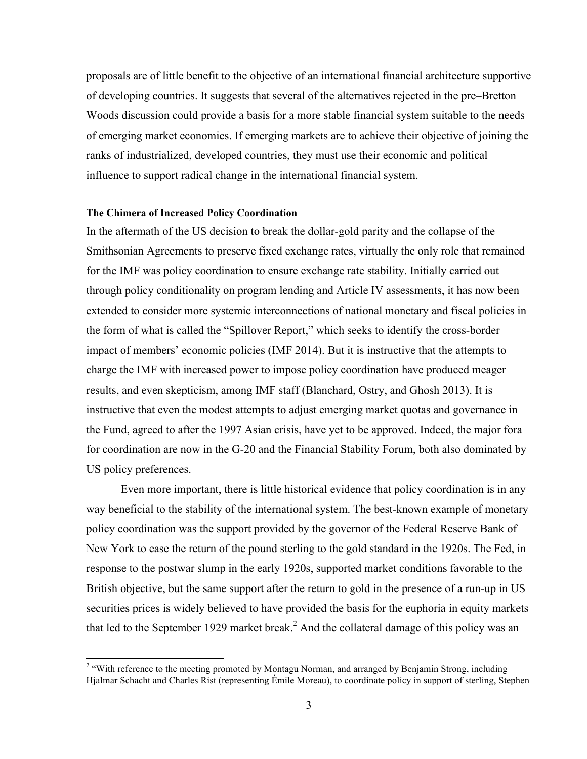proposals are of little benefit to the objective of an international financial architecture supportive of developing countries. It suggests that several of the alternatives rejected in the pre–Bretton Woods discussion could provide a basis for a more stable financial system suitable to the needs of emerging market economies. If emerging markets are to achieve their objective of joining the ranks of industrialized, developed countries, they must use their economic and political influence to support radical change in the international financial system.

# **The Chimera of Increased Policy Coordination**

<u> 1989 - Johann Stein, fransk politik (d. 1989)</u>

In the aftermath of the US decision to break the dollar-gold parity and the collapse of the Smithsonian Agreements to preserve fixed exchange rates, virtually the only role that remained for the IMF was policy coordination to ensure exchange rate stability. Initially carried out through policy conditionality on program lending and Article IV assessments, it has now been extended to consider more systemic interconnections of national monetary and fiscal policies in the form of what is called the "Spillover Report," which seeks to identify the cross-border impact of members' economic policies (IMF 2014). But it is instructive that the attempts to charge the IMF with increased power to impose policy coordination have produced meager results, and even skepticism, among IMF staff (Blanchard, Ostry, and Ghosh 2013). It is instructive that even the modest attempts to adjust emerging market quotas and governance in the Fund, agreed to after the 1997 Asian crisis, have yet to be approved. Indeed, the major fora for coordination are now in the G-20 and the Financial Stability Forum, both also dominated by US policy preferences.

Even more important, there is little historical evidence that policy coordination is in any way beneficial to the stability of the international system. The best-known example of monetary policy coordination was the support provided by the governor of the Federal Reserve Bank of New York to ease the return of the pound sterling to the gold standard in the 1920s. The Fed, in response to the postwar slump in the early 1920s, supported market conditions favorable to the British objective, but the same support after the return to gold in the presence of a run-up in US securities prices is widely believed to have provided the basis for the euphoria in equity markets that led to the September 1929 market break.<sup>2</sup> And the collateral damage of this policy was an

<sup>&</sup>lt;sup>2</sup> "With reference to the meeting promoted by Montagu Norman, and arranged by Benjamin Strong, including Hjalmar Schacht and Charles Rist (representing Émile Moreau), to coordinate policy in support of sterling, Stephen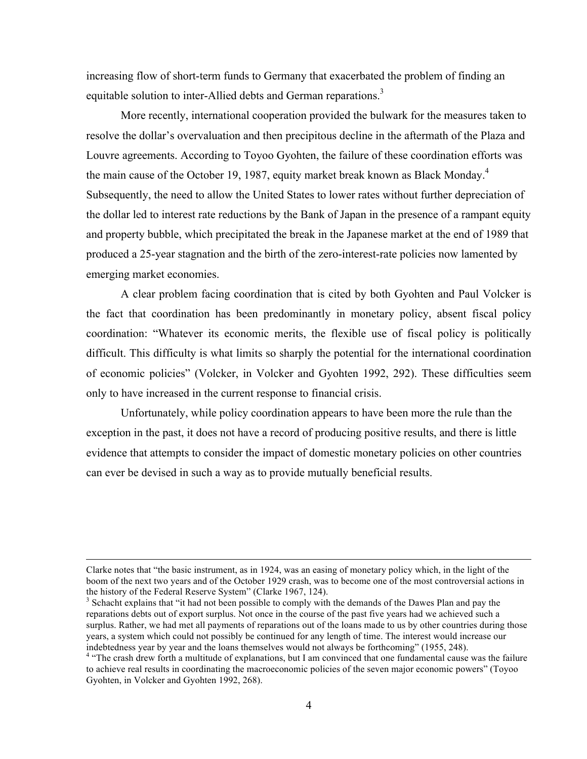increasing flow of short-term funds to Germany that exacerbated the problem of finding an equitable solution to inter-Allied debts and German reparations.<sup>3</sup>

More recently, international cooperation provided the bulwark for the measures taken to resolve the dollar's overvaluation and then precipitous decline in the aftermath of the Plaza and Louvre agreements. According to Toyoo Gyohten, the failure of these coordination efforts was the main cause of the October 19, 1987, equity market break known as Black Monday. 4 Subsequently, the need to allow the United States to lower rates without further depreciation of the dollar led to interest rate reductions by the Bank of Japan in the presence of a rampant equity and property bubble, which precipitated the break in the Japanese market at the end of 1989 that produced a 25-year stagnation and the birth of the zero-interest-rate policies now lamented by emerging market economies.

A clear problem facing coordination that is cited by both Gyohten and Paul Volcker is the fact that coordination has been predominantly in monetary policy, absent fiscal policy coordination: "Whatever its economic merits, the flexible use of fiscal policy is politically difficult. This difficulty is what limits so sharply the potential for the international coordination of economic policies" (Volcker, in Volcker and Gyohten 1992, 292). These difficulties seem only to have increased in the current response to financial crisis.

Unfortunately, while policy coordination appears to have been more the rule than the exception in the past, it does not have a record of producing positive results, and there is little evidence that attempts to consider the impact of domestic monetary policies on other countries can ever be devised in such a way as to provide mutually beneficial results.

<u> 1989 - Andrea Santa Andrea Andrea Andrea Andrea Andrea Andrea Andrea Andrea Andrea Andrea Andrea Andrea Andr</u>

Clarke notes that "the basic instrument, as in 1924, was an easing of monetary policy which, in the light of the boom of the next two years and of the October 1929 crash, was to become one of the most controversial actions in the history of the Federal Reserve System" (Clarke 1967, 124).

<sup>&</sup>lt;sup>3</sup> Schacht explains that "it had not been possible to comply with the demands of the Dawes Plan and pay the reparations debts out of export surplus. Not once in the course of the past five years had we achieved such a surplus. Rather, we had met all payments of reparations out of the loans made to us by other countries during those years, a system which could not possibly be continued for any length of time. The interest would increase our indebtedness year by year and the loans themselves would not always be forthcoming" (1955, 248).

<sup>&</sup>lt;sup>4</sup> "The crash drew forth a multitude of explanations, but I am convinced that one fundamental cause was the failure to achieve real results in coordinating the macroeconomic policies of the seven major economic powers" (Toyoo Gyohten, in Volcker and Gyohten 1992, 268).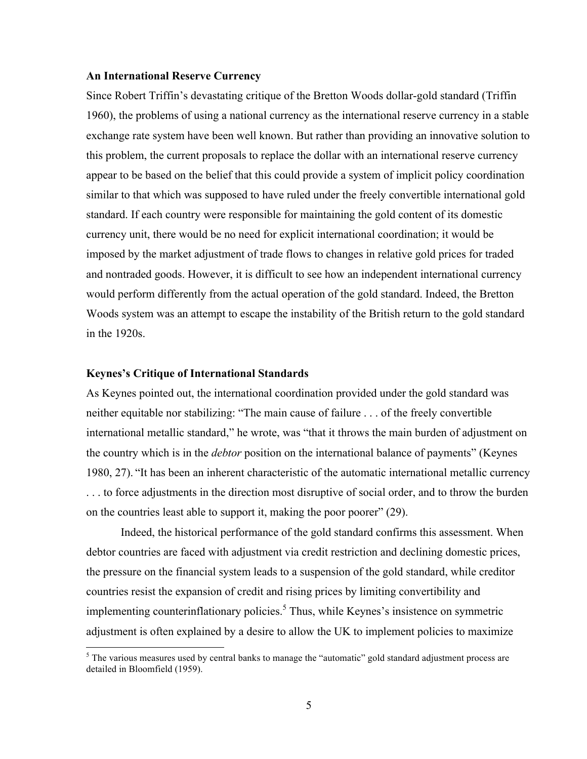#### **An International Reserve Currency**

Since Robert Triffin's devastating critique of the Bretton Woods dollar-gold standard (Triffin 1960), the problems of using a national currency as the international reserve currency in a stable exchange rate system have been well known. But rather than providing an innovative solution to this problem, the current proposals to replace the dollar with an international reserve currency appear to be based on the belief that this could provide a system of implicit policy coordination similar to that which was supposed to have ruled under the freely convertible international gold standard. If each country were responsible for maintaining the gold content of its domestic currency unit, there would be no need for explicit international coordination; it would be imposed by the market adjustment of trade flows to changes in relative gold prices for traded and nontraded goods. However, it is difficult to see how an independent international currency would perform differently from the actual operation of the gold standard. Indeed, the Bretton Woods system was an attempt to escape the instability of the British return to the gold standard in the 1920s.

# **Keynes's Critique of International Standards**

<u> 1989 - Johann Stein, fransk politik (d. 1989)</u>

As Keynes pointed out, the international coordination provided under the gold standard was neither equitable nor stabilizing: "The main cause of failure . . . of the freely convertible international metallic standard," he wrote, was "that it throws the main burden of adjustment on the country which is in the *debtor* position on the international balance of payments" (Keynes 1980, 27). "It has been an inherent characteristic of the automatic international metallic currency . . . to force adjustments in the direction most disruptive of social order, and to throw the burden on the countries least able to support it, making the poor poorer" (29).

Indeed, the historical performance of the gold standard confirms this assessment. When debtor countries are faced with adjustment via credit restriction and declining domestic prices, the pressure on the financial system leads to a suspension of the gold standard, while creditor countries resist the expansion of credit and rising prices by limiting convertibility and implementing counterinflationary policies.<sup>5</sup> Thus, while Keynes's insistence on symmetric adjustment is often explained by a desire to allow the UK to implement policies to maximize

 $<sup>5</sup>$  The various measures used by central banks to manage the "automatic" gold standard adjustment process are</sup> detailed in Bloomfield (1959).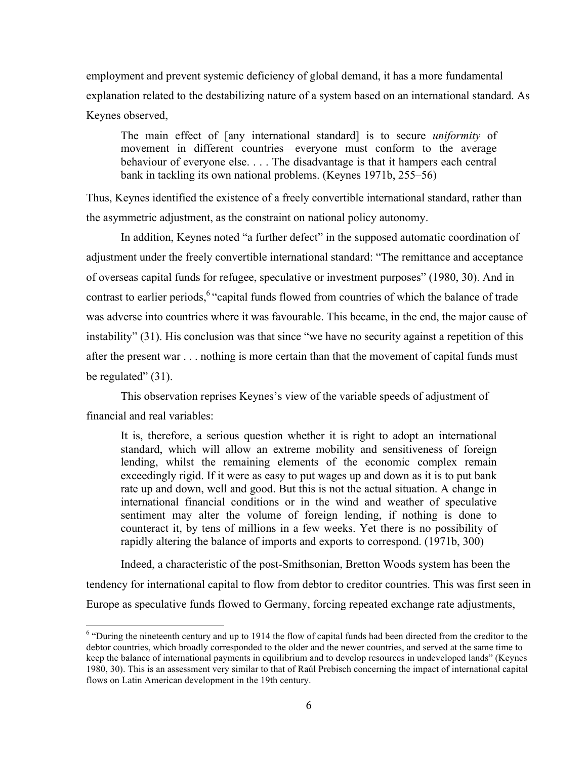employment and prevent systemic deficiency of global demand, it has a more fundamental explanation related to the destabilizing nature of a system based on an international standard. As Keynes observed,

The main effect of [any international standard] is to secure *uniformity* of movement in different countries—everyone must conform to the average behaviour of everyone else. . . . The disadvantage is that it hampers each central bank in tackling its own national problems. (Keynes 1971b, 255–56)

Thus, Keynes identified the existence of a freely convertible international standard, rather than the asymmetric adjustment, as the constraint on national policy autonomy.

In addition, Keynes noted "a further defect" in the supposed automatic coordination of adjustment under the freely convertible international standard: "The remittance and acceptance of overseas capital funds for refugee, speculative or investment purposes" (1980, 30). And in contrast to earlier periods,<sup>6</sup> "capital funds flowed from countries of which the balance of trade was adverse into countries where it was favourable. This became, in the end, the major cause of instability" (31). His conclusion was that since "we have no security against a repetition of this after the present war . . . nothing is more certain than that the movement of capital funds must be regulated"  $(31)$ .

This observation reprises Keynes's view of the variable speeds of adjustment of financial and real variables:

It is, therefore, a serious question whether it is right to adopt an international standard, which will allow an extreme mobility and sensitiveness of foreign lending, whilst the remaining elements of the economic complex remain exceedingly rigid. If it were as easy to put wages up and down as it is to put bank rate up and down, well and good. But this is not the actual situation. A change in international financial conditions or in the wind and weather of speculative sentiment may alter the volume of foreign lending, if nothing is done to counteract it, by tens of millions in a few weeks. Yet there is no possibility of rapidly altering the balance of imports and exports to correspond. (1971b, 300)

Indeed, a characteristic of the post-Smithsonian, Bretton Woods system has been the tendency for international capital to flow from debtor to creditor countries. This was first seen in Europe as speculative funds flowed to Germany, forcing repeated exchange rate adjustments,

 $6$  "During the nineteenth century and up to 1914 the flow of capital funds had been directed from the creditor to the debtor countries, which broadly corresponded to the older and the newer countries, and served at the same time to keep the balance of international payments in equilibrium and to develop resources in undeveloped lands" (Keynes 1980, 30). This is an assessment very similar to that of Raúl Prebisch concerning the impact of international capital flows on Latin American development in the 19th century.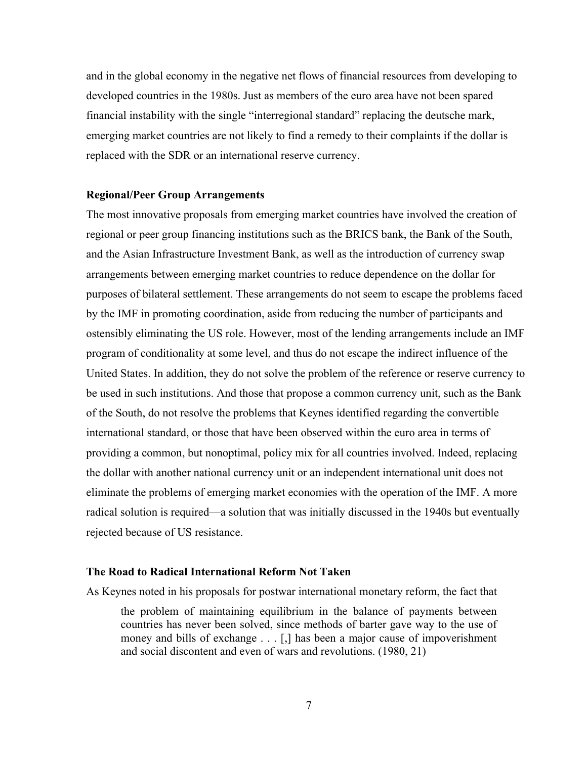and in the global economy in the negative net flows of financial resources from developing to developed countries in the 1980s. Just as members of the euro area have not been spared financial instability with the single "interregional standard" replacing the deutsche mark, emerging market countries are not likely to find a remedy to their complaints if the dollar is replaced with the SDR or an international reserve currency.

# **Regional/Peer Group Arrangements**

The most innovative proposals from emerging market countries have involved the creation of regional or peer group financing institutions such as the BRICS bank, the Bank of the South, and the Asian Infrastructure Investment Bank, as well as the introduction of currency swap arrangements between emerging market countries to reduce dependence on the dollar for purposes of bilateral settlement. These arrangements do not seem to escape the problems faced by the IMF in promoting coordination, aside from reducing the number of participants and ostensibly eliminating the US role. However, most of the lending arrangements include an IMF program of conditionality at some level, and thus do not escape the indirect influence of the United States. In addition, they do not solve the problem of the reference or reserve currency to be used in such institutions. And those that propose a common currency unit, such as the Bank of the South, do not resolve the problems that Keynes identified regarding the convertible international standard, or those that have been observed within the euro area in terms of providing a common, but nonoptimal, policy mix for all countries involved. Indeed, replacing the dollar with another national currency unit or an independent international unit does not eliminate the problems of emerging market economies with the operation of the IMF. A more radical solution is required—a solution that was initially discussed in the 1940s but eventually rejected because of US resistance.

#### **The Road to Radical International Reform Not Taken**

As Keynes noted in his proposals for postwar international monetary reform, the fact that

the problem of maintaining equilibrium in the balance of payments between countries has never been solved, since methods of barter gave way to the use of money and bills of exchange . . . [,] has been a major cause of impoverishment and social discontent and even of wars and revolutions. (1980, 21)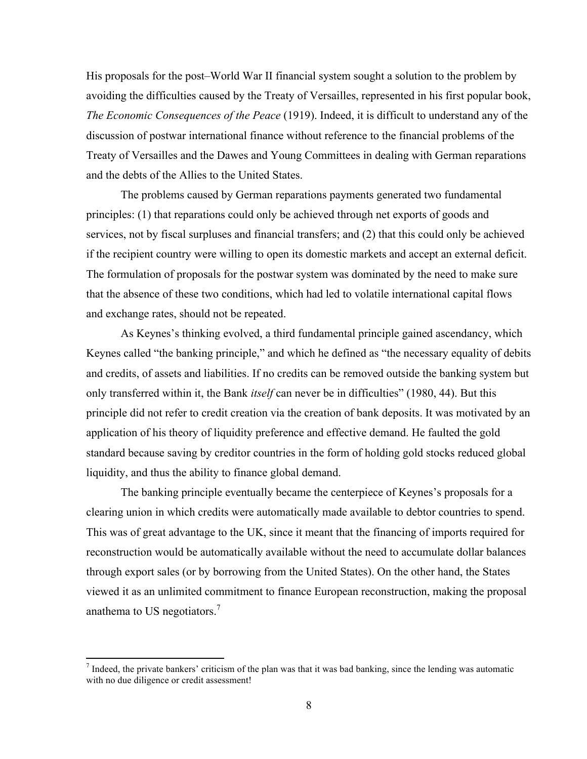His proposals for the post–World War II financial system sought a solution to the problem by avoiding the difficulties caused by the Treaty of Versailles, represented in his first popular book, *The Economic Consequences of the Peace* (1919). Indeed, it is difficult to understand any of the discussion of postwar international finance without reference to the financial problems of the Treaty of Versailles and the Dawes and Young Committees in dealing with German reparations and the debts of the Allies to the United States.

The problems caused by German reparations payments generated two fundamental principles: (1) that reparations could only be achieved through net exports of goods and services, not by fiscal surpluses and financial transfers; and (2) that this could only be achieved if the recipient country were willing to open its domestic markets and accept an external deficit. The formulation of proposals for the postwar system was dominated by the need to make sure that the absence of these two conditions, which had led to volatile international capital flows and exchange rates, should not be repeated.

As Keynes's thinking evolved, a third fundamental principle gained ascendancy, which Keynes called "the banking principle," and which he defined as "the necessary equality of debits and credits, of assets and liabilities. If no credits can be removed outside the banking system but only transferred within it, the Bank *itself* can never be in difficulties" (1980, 44). But this principle did not refer to credit creation via the creation of bank deposits. It was motivated by an application of his theory of liquidity preference and effective demand. He faulted the gold standard because saving by creditor countries in the form of holding gold stocks reduced global liquidity, and thus the ability to finance global demand.

The banking principle eventually became the centerpiece of Keynes's proposals for a clearing union in which credits were automatically made available to debtor countries to spend. This was of great advantage to the UK, since it meant that the financing of imports required for reconstruction would be automatically available without the need to accumulate dollar balances through export sales (or by borrowing from the United States). On the other hand, the States viewed it as an unlimited commitment to finance European reconstruction, making the proposal anathema to US negotiators.<sup>7</sup>

 $<sup>7</sup>$  Indeed, the private bankers' criticism of the plan was that it was bad banking, since the lending was automatic</sup> with no due diligence or credit assessment!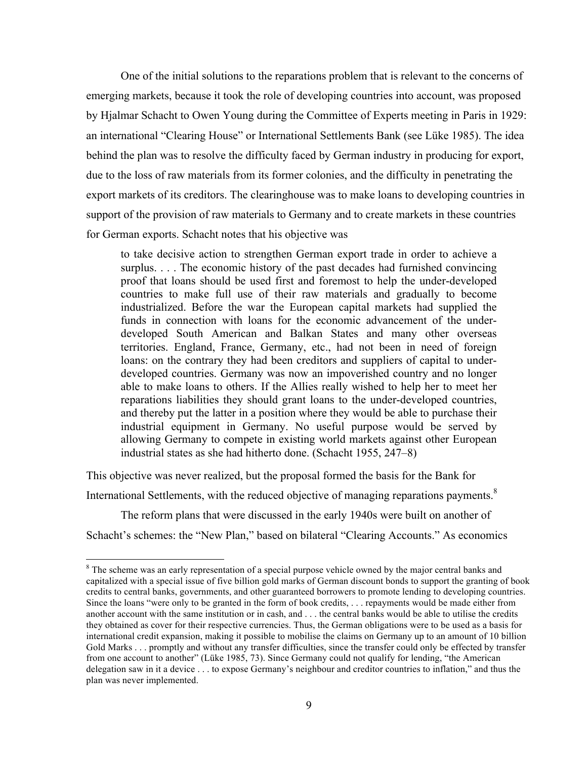One of the initial solutions to the reparations problem that is relevant to the concerns of emerging markets, because it took the role of developing countries into account, was proposed by Hjalmar Schacht to Owen Young during the Committee of Experts meeting in Paris in 1929: an international "Clearing House" or International Settlements Bank (see Lüke 1985). The idea behind the plan was to resolve the difficulty faced by German industry in producing for export, due to the loss of raw materials from its former colonies, and the difficulty in penetrating the export markets of its creditors. The clearinghouse was to make loans to developing countries in support of the provision of raw materials to Germany and to create markets in these countries for German exports. Schacht notes that his objective was

to take decisive action to strengthen German export trade in order to achieve a surplus. . . . The economic history of the past decades had furnished convincing proof that loans should be used first and foremost to help the under-developed countries to make full use of their raw materials and gradually to become industrialized. Before the war the European capital markets had supplied the funds in connection with loans for the economic advancement of the underdeveloped South American and Balkan States and many other overseas territories. England, France, Germany, etc., had not been in need of foreign loans: on the contrary they had been creditors and suppliers of capital to underdeveloped countries. Germany was now an impoverished country and no longer able to make loans to others. If the Allies really wished to help her to meet her reparations liabilities they should grant loans to the under-developed countries, and thereby put the latter in a position where they would be able to purchase their industrial equipment in Germany. No useful purpose would be served by allowing Germany to compete in existing world markets against other European industrial states as she had hitherto done. (Schacht 1955, 247–8)

This objective was never realized, but the proposal formed the basis for the Bank for International Settlements, with the reduced objective of managing reparations payments.<sup>8</sup>

The reform plans that were discussed in the early 1940s were built on another of Schacht's schemes: the "New Plan," based on bilateral "Clearing Accounts." As economics

<sup>&</sup>lt;u> 1989 - Johann Stein, fransk politik (d. 1989)</u>  $8$  The scheme was an early representation of a special purpose vehicle owned by the major central banks and capitalized with a special issue of five billion gold marks of German discount bonds to support the granting of book credits to central banks, governments, and other guaranteed borrowers to promote lending to developing countries. Since the loans "were only to be granted in the form of book credits, . . . repayments would be made either from another account with the same institution or in cash, and . . . the central banks would be able to utilise the credits

they obtained as cover for their respective currencies. Thus, the German obligations were to be used as a basis for international credit expansion, making it possible to mobilise the claims on Germany up to an amount of 10 billion Gold Marks . . . promptly and without any transfer difficulties, since the transfer could only be effected by transfer from one account to another" (Lüke 1985, 73). Since Germany could not qualify for lending, "the American delegation saw in it a device . . . to expose Germany's neighbour and creditor countries to inflation," and thus the plan was never implemented.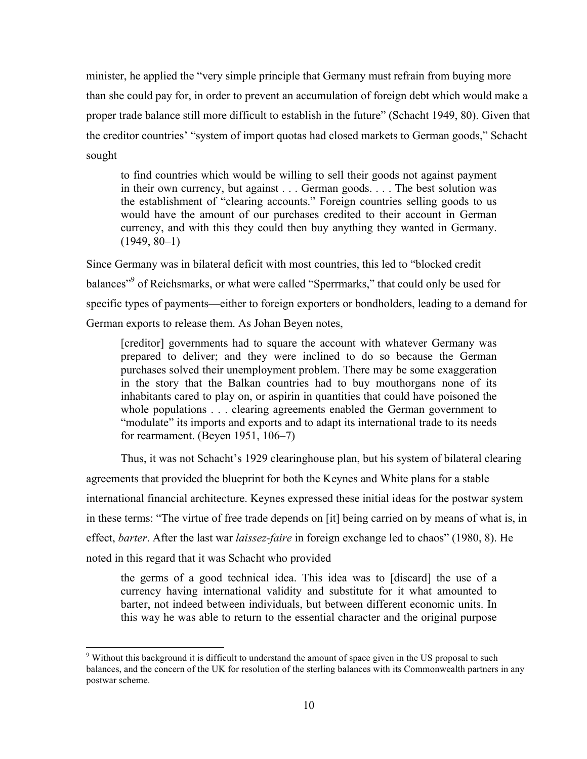minister, he applied the "very simple principle that Germany must refrain from buying more than she could pay for, in order to prevent an accumulation of foreign debt which would make a proper trade balance still more difficult to establish in the future" (Schacht 1949, 80). Given that the creditor countries' "system of import quotas had closed markets to German goods," Schacht sought

to find countries which would be willing to sell their goods not against payment in their own currency, but against . . . German goods. . . . The best solution was the establishment of "clearing accounts." Foreign countries selling goods to us would have the amount of our purchases credited to their account in German currency, and with this they could then buy anything they wanted in Germany.  $(1949, 80-1)$ 

Since Germany was in bilateral deficit with most countries, this led to "blocked credit balances<sup>"9</sup> of Reichsmarks, or what were called "Sperrmarks," that could only be used for specific types of payments—either to foreign exporters or bondholders, leading to a demand for German exports to release them. As Johan Beyen notes,

[creditor] governments had to square the account with whatever Germany was prepared to deliver; and they were inclined to do so because the German purchases solved their unemployment problem. There may be some exaggeration in the story that the Balkan countries had to buy mouthorgans none of its inhabitants cared to play on, or aspirin in quantities that could have poisoned the whole populations . . . clearing agreements enabled the German government to "modulate" its imports and exports and to adapt its international trade to its needs for rearmament. (Beyen 1951, 106–7)

Thus, it was not Schacht's 1929 clearinghouse plan, but his system of bilateral clearing

agreements that provided the blueprint for both the Keynes and White plans for a stable international financial architecture. Keynes expressed these initial ideas for the postwar system in these terms: "The virtue of free trade depends on [it] being carried on by means of what is, in effect, *barter*. After the last war *laissez-faire* in foreign exchange led to chaos" (1980, 8). He noted in this regard that it was Schacht who provided

the germs of a good technical idea. This idea was to [discard] the use of a currency having international validity and substitute for it what amounted to barter, not indeed between individuals, but between different economic units. In this way he was able to return to the essential character and the original purpose

<sup>&</sup>lt;sup>9</sup> Without this background it is difficult to understand the amount of space given in the US proposal to such balances, and the concern of the UK for resolution of the sterling balances with its Commonwealth partners in any postwar scheme.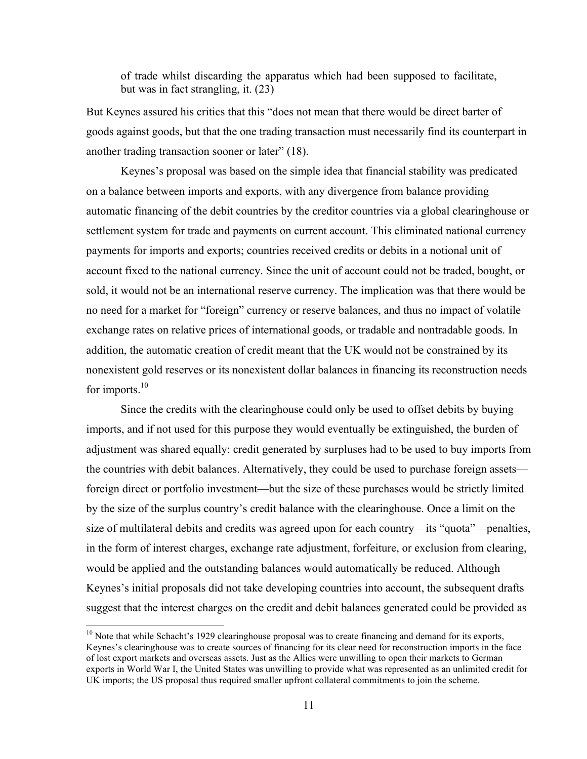of trade whilst discarding the apparatus which had been supposed to facilitate, but was in fact strangling, it. (23)

But Keynes assured his critics that this "does not mean that there would be direct barter of goods against goods, but that the one trading transaction must necessarily find its counterpart in another trading transaction sooner or later" (18).

Keynes's proposal was based on the simple idea that financial stability was predicated on a balance between imports and exports, with any divergence from balance providing automatic financing of the debit countries by the creditor countries via a global clearinghouse or settlement system for trade and payments on current account. This eliminated national currency payments for imports and exports; countries received credits or debits in a notional unit of account fixed to the national currency. Since the unit of account could not be traded, bought, or sold, it would not be an international reserve currency. The implication was that there would be no need for a market for "foreign" currency or reserve balances, and thus no impact of volatile exchange rates on relative prices of international goods, or tradable and nontradable goods. In addition, the automatic creation of credit meant that the UK would not be constrained by its nonexistent gold reserves or its nonexistent dollar balances in financing its reconstruction needs for imports. $10$ 

Since the credits with the clearinghouse could only be used to offset debits by buying imports, and if not used for this purpose they would eventually be extinguished, the burden of adjustment was shared equally: credit generated by surpluses had to be used to buy imports from the countries with debit balances. Alternatively, they could be used to purchase foreign assets foreign direct or portfolio investment—but the size of these purchases would be strictly limited by the size of the surplus country's credit balance with the clearinghouse. Once a limit on the size of multilateral debits and credits was agreed upon for each country—its "quota"—penalties, in the form of interest charges, exchange rate adjustment, forfeiture, or exclusion from clearing, would be applied and the outstanding balances would automatically be reduced. Although Keynes's initial proposals did not take developing countries into account, the subsequent drafts suggest that the interest charges on the credit and debit balances generated could be provided as

<sup>&</sup>lt;sup>10</sup> Note that while Schacht's 1929 clearinghouse proposal was to create financing and demand for its exports, Keynes's clearinghouse was to create sources of financing for its clear need for reconstruction imports in the face of lost export markets and overseas assets. Just as the Allies were unwilling to open their markets to German exports in World War I, the United States was unwilling to provide what was represented as an unlimited credit for UK imports; the US proposal thus required smaller upfront collateral commitments to join the scheme.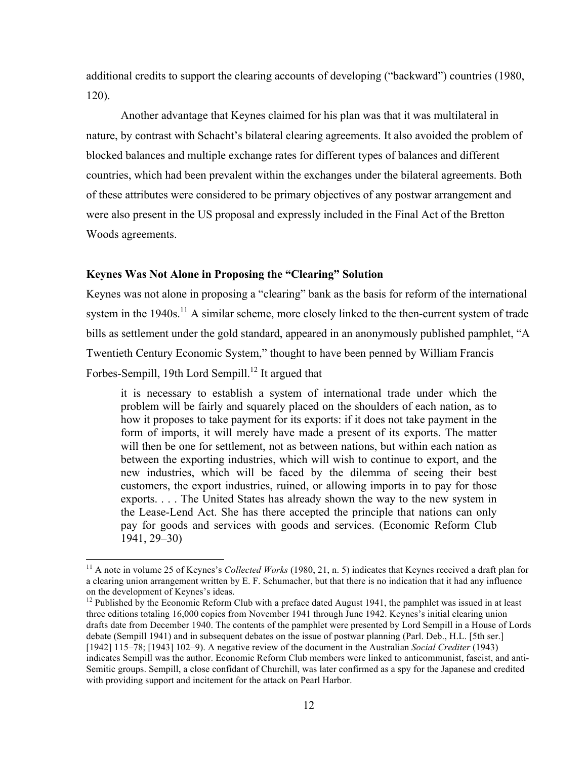additional credits to support the clearing accounts of developing ("backward") countries (1980, 120).

Another advantage that Keynes claimed for his plan was that it was multilateral in nature, by contrast with Schacht's bilateral clearing agreements. It also avoided the problem of blocked balances and multiple exchange rates for different types of balances and different countries, which had been prevalent within the exchanges under the bilateral agreements. Both of these attributes were considered to be primary objectives of any postwar arrangement and were also present in the US proposal and expressly included in the Final Act of the Bretton Woods agreements.

# **Keynes Was Not Alone in Proposing the "Clearing" Solution**

<u> 1989 - Johann Stein, fransk politik (d. 1989)</u>

Keynes was not alone in proposing a "clearing" bank as the basis for reform of the international system in the  $1940s$ .<sup>11</sup> A similar scheme, more closely linked to the then-current system of trade bills as settlement under the gold standard, appeared in an anonymously published pamphlet, "A Twentieth Century Economic System," thought to have been penned by William Francis Forbes-Sempill, 19th Lord Sempill.<sup>12</sup> It argued that

it is necessary to establish a system of international trade under which the problem will be fairly and squarely placed on the shoulders of each nation, as to how it proposes to take payment for its exports: if it does not take payment in the form of imports, it will merely have made a present of its exports. The matter will then be one for settlement, not as between nations, but within each nation as between the exporting industries, which will wish to continue to export, and the new industries, which will be faced by the dilemma of seeing their best customers, the export industries, ruined, or allowing imports in to pay for those exports. . . . The United States has already shown the way to the new system in the Lease-Lend Act. She has there accepted the principle that nations can only pay for goods and services with goods and services. (Economic Reform Club 1941, 29–30)

<sup>&</sup>lt;sup>11</sup> A note in volume 25 of Keynes's *Collected Works* (1980, 21, n. 5) indicates that Keynes received a draft plan for a clearing union arrangement written by E. F. Schumacher, but that there is no indication that it had any influence on the development of Keynes's ideas.

<sup>&</sup>lt;sup>12</sup> Published by the Economic Reform Club with a preface dated August 1941, the pamphlet was issued in at least three editions totaling 16,000 copies from November 1941 through June 1942. Keynes's initial clearing union drafts date from December 1940. The contents of the pamphlet were presented by Lord Sempill in a House of Lords debate (Sempill 1941) and in subsequent debates on the issue of postwar planning (Parl. Deb., H.L. [5th ser.] [1942] 115–78; [1943] 102–9). A negative review of the document in the Australian *Social Crediter* (1943) indicates Sempill was the author. Economic Reform Club members were linked to anticommunist, fascist, and anti-Semitic groups. Sempill, a close confidant of Churchill, was later confirmed as a spy for the Japanese and credited with providing support and incitement for the attack on Pearl Harbor.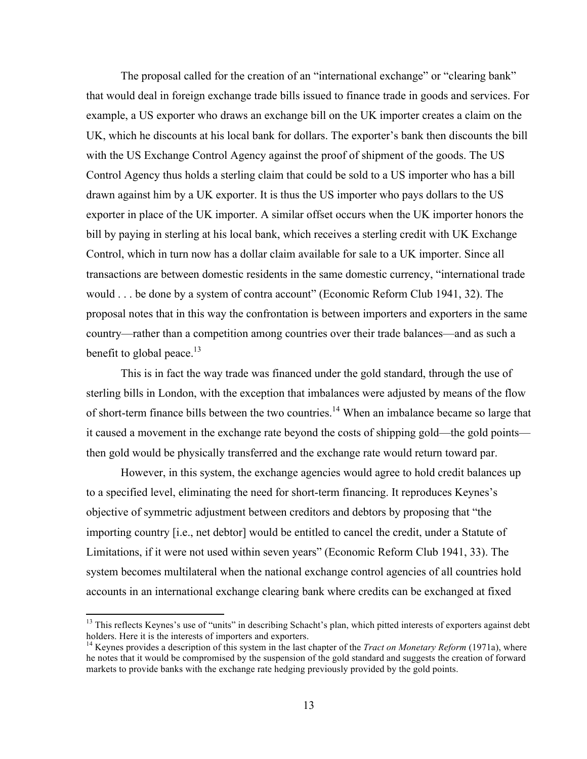The proposal called for the creation of an "international exchange" or "clearing bank" that would deal in foreign exchange trade bills issued to finance trade in goods and services. For example, a US exporter who draws an exchange bill on the UK importer creates a claim on the UK, which he discounts at his local bank for dollars. The exporter's bank then discounts the bill with the US Exchange Control Agency against the proof of shipment of the goods. The US Control Agency thus holds a sterling claim that could be sold to a US importer who has a bill drawn against him by a UK exporter. It is thus the US importer who pays dollars to the US exporter in place of the UK importer. A similar offset occurs when the UK importer honors the bill by paying in sterling at his local bank, which receives a sterling credit with UK Exchange Control, which in turn now has a dollar claim available for sale to a UK importer. Since all transactions are between domestic residents in the same domestic currency, "international trade would . . . be done by a system of contra account" (Economic Reform Club 1941, 32). The proposal notes that in this way the confrontation is between importers and exporters in the same country—rather than a competition among countries over their trade balances—and as such a benefit to global peace.<sup>13</sup>

This is in fact the way trade was financed under the gold standard, through the use of sterling bills in London, with the exception that imbalances were adjusted by means of the flow of short-term finance bills between the two countries.<sup>14</sup> When an imbalance became so large that it caused a movement in the exchange rate beyond the costs of shipping gold—the gold points then gold would be physically transferred and the exchange rate would return toward par.

However, in this system, the exchange agencies would agree to hold credit balances up to a specified level, eliminating the need for short-term financing. It reproduces Keynes's objective of symmetric adjustment between creditors and debtors by proposing that "the importing country [i.e., net debtor] would be entitled to cancel the credit, under a Statute of Limitations, if it were not used within seven years" (Economic Reform Club 1941, 33). The system becomes multilateral when the national exchange control agencies of all countries hold accounts in an international exchange clearing bank where credits can be exchanged at fixed

 $<sup>13</sup>$  This reflects Keynes's use of "units" in describing Schacht's plan, which pitted interests of exporters against debt</sup> holders. Here it is the interests of importers and exporters.

<sup>14</sup> Keynes provides a description of this system in the last chapter of the *Tract on Monetary Reform* (1971a), where he notes that it would be compromised by the suspension of the gold standard and suggests the creation of forward markets to provide banks with the exchange rate hedging previously provided by the gold points.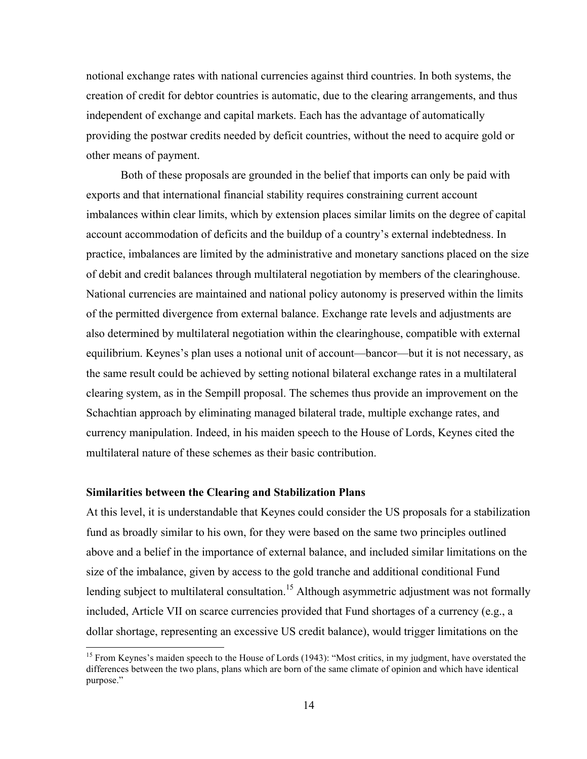notional exchange rates with national currencies against third countries. In both systems, the creation of credit for debtor countries is automatic, due to the clearing arrangements, and thus independent of exchange and capital markets. Each has the advantage of automatically providing the postwar credits needed by deficit countries, without the need to acquire gold or other means of payment.

Both of these proposals are grounded in the belief that imports can only be paid with exports and that international financial stability requires constraining current account imbalances within clear limits, which by extension places similar limits on the degree of capital account accommodation of deficits and the buildup of a country's external indebtedness. In practice, imbalances are limited by the administrative and monetary sanctions placed on the size of debit and credit balances through multilateral negotiation by members of the clearinghouse. National currencies are maintained and national policy autonomy is preserved within the limits of the permitted divergence from external balance. Exchange rate levels and adjustments are also determined by multilateral negotiation within the clearinghouse, compatible with external equilibrium. Keynes's plan uses a notional unit of account—bancor—but it is not necessary, as the same result could be achieved by setting notional bilateral exchange rates in a multilateral clearing system, as in the Sempill proposal. The schemes thus provide an improvement on the Schachtian approach by eliminating managed bilateral trade, multiple exchange rates, and currency manipulation. Indeed, in his maiden speech to the House of Lords, Keynes cited the multilateral nature of these schemes as their basic contribution.

# **Similarities between the Clearing and Stabilization Plans**

<u> 1989 - Johann Stein, fransk politik (d. 1989)</u>

At this level, it is understandable that Keynes could consider the US proposals for a stabilization fund as broadly similar to his own, for they were based on the same two principles outlined above and a belief in the importance of external balance, and included similar limitations on the size of the imbalance, given by access to the gold tranche and additional conditional Fund lending subject to multilateral consultation.<sup>15</sup> Although asymmetric adjustment was not formally included, Article VII on scarce currencies provided that Fund shortages of a currency (e.g., a dollar shortage, representing an excessive US credit balance), would trigger limitations on the

<sup>&</sup>lt;sup>15</sup> From Keynes's maiden speech to the House of Lords (1943): "Most critics, in my judgment, have overstated the differences between the two plans, plans which are born of the same climate of opinion and which have identical purpose."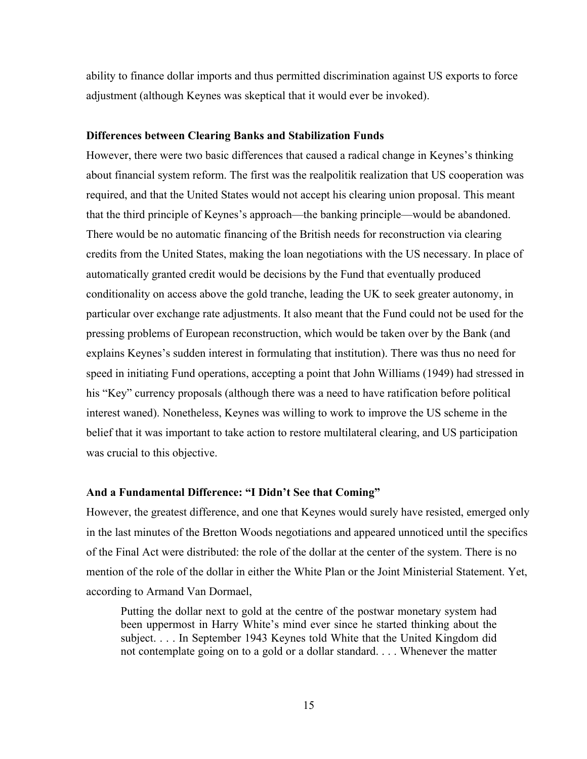ability to finance dollar imports and thus permitted discrimination against US exports to force adjustment (although Keynes was skeptical that it would ever be invoked).

### **Differences between Clearing Banks and Stabilization Funds**

However, there were two basic differences that caused a radical change in Keynes's thinking about financial system reform. The first was the realpolitik realization that US cooperation was required, and that the United States would not accept his clearing union proposal. This meant that the third principle of Keynes's approach—the banking principle—would be abandoned. There would be no automatic financing of the British needs for reconstruction via clearing credits from the United States, making the loan negotiations with the US necessary. In place of automatically granted credit would be decisions by the Fund that eventually produced conditionality on access above the gold tranche, leading the UK to seek greater autonomy, in particular over exchange rate adjustments. It also meant that the Fund could not be used for the pressing problems of European reconstruction, which would be taken over by the Bank (and explains Keynes's sudden interest in formulating that institution). There was thus no need for speed in initiating Fund operations, accepting a point that John Williams (1949) had stressed in his "Key" currency proposals (although there was a need to have ratification before political interest waned). Nonetheless, Keynes was willing to work to improve the US scheme in the belief that it was important to take action to restore multilateral clearing, and US participation was crucial to this objective.

# **And a Fundamental Difference: "I Didn't See that Coming"**

However, the greatest difference, and one that Keynes would surely have resisted, emerged only in the last minutes of the Bretton Woods negotiations and appeared unnoticed until the specifics of the Final Act were distributed: the role of the dollar at the center of the system. There is no mention of the role of the dollar in either the White Plan or the Joint Ministerial Statement. Yet, according to Armand Van Dormael,

Putting the dollar next to gold at the centre of the postwar monetary system had been uppermost in Harry White's mind ever since he started thinking about the subject. . . . In September 1943 Keynes told White that the United Kingdom did not contemplate going on to a gold or a dollar standard. . . . Whenever the matter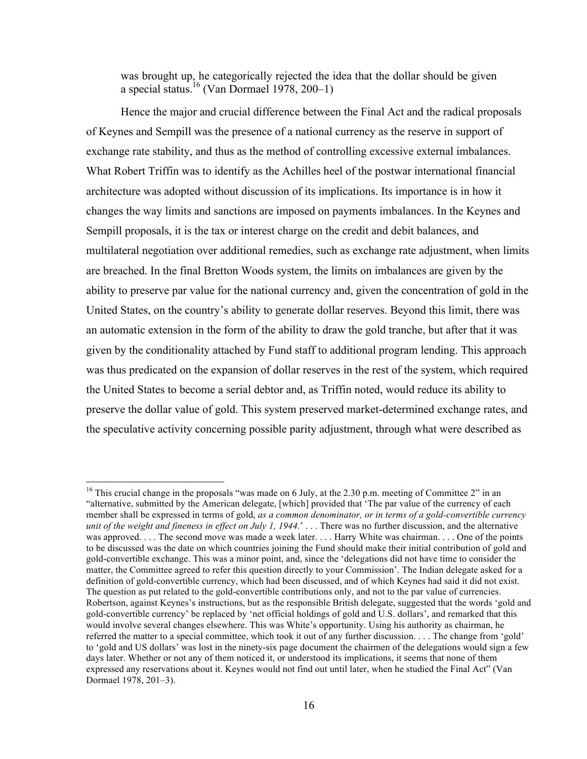was brought up, he categorically rejected the idea that the dollar should be given a special status.<sup>16</sup> (Van Dormael 1978, 200–1)

Hence the major and crucial difference between the Final Act and the radical proposals of Keynes and Sempill was the presence of a national currency as the reserve in support of exchange rate stability, and thus as the method of controlling excessive external imbalances. What Robert Triffin was to identify as the Achilles heel of the postwar international financial architecture was adopted without discussion of its implications. Its importance is in how it changes the way limits and sanctions are imposed on payments imbalances. In the Keynes and Sempill proposals, it is the tax or interest charge on the credit and debit balances, and multilateral negotiation over additional remedies, such as exchange rate adjustment, when limits are breached. In the final Bretton Woods system, the limits on imbalances are given by the ability to preserve par value for the national currency and, given the concentration of gold in the United States, on the country's ability to generate dollar reserves. Beyond this limit, there was an automatic extension in the form of the ability to draw the gold tranche, but after that it was given by the conditionality attached by Fund staff to additional program lending. This approach was thus predicated on the expansion of dollar reserves in the rest of the system, which required the United States to become a serial debtor and, as Triffin noted, would reduce its ability to preserve the dollar value of gold. This system preserved market-determined exchange rates, and the speculative activity concerning possible parity adjustment, through what were described as

<sup>&</sup>lt;sup>16</sup> This crucial change in the proposals "was made on 6 July, at the 2.30 p.m. meeting of Committee 2" in an "alternative, submitted by the American delegate, [which] provided that 'The par value of the currency of each member shall be expressed in terms of gold, *as a common denominator, or in terms of a gold-convertible currency unit of the weight and fineness in effect on July 1, 1944.*' . . . There was no further discussion, and the alternative was approved. . . . The second move was made a week later. . . . Harry White was chairman. . . . One of the points to be discussed was the date on which countries joining the Fund should make their initial contribution of gold and gold-convertible exchange. This was a minor point, and, since the 'delegations did not have time to consider the matter, the Committee agreed to refer this question directly to your Commission'. The Indian delegate asked for a definition of gold-convertible currency, which had been discussed, and of which Keynes had said it did not exist. The question as put related to the gold-convertible contributions only, and not to the par value of currencies. Robertson, against Keynes's instructions, but as the responsible British delegate, suggested that the words 'gold and gold-convertible currency' be replaced by 'net official holdings of gold and U.S. dollars', and remarked that this would involve several changes elsewhere. This was White's opportunity. Using his authority as chairman, he referred the matter to a special committee, which took it out of any further discussion. . . . The change from 'gold' to 'gold and US dollars' was lost in the ninety-six page document the chairmen of the delegations would sign a few days later. Whether or not any of them noticed it, or understood its implications, it seems that none of them expressed any reservations about it. Keynes would not find out until later, when he studied the Final Act" (Van Dormael 1978, 201–3).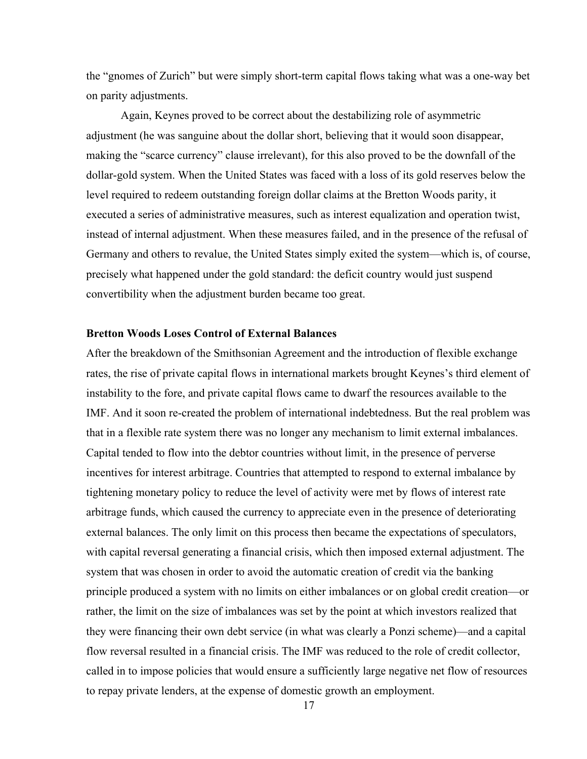the "gnomes of Zurich" but were simply short-term capital flows taking what was a one-way bet on parity adjustments.

Again, Keynes proved to be correct about the destabilizing role of asymmetric adjustment (he was sanguine about the dollar short, believing that it would soon disappear, making the "scarce currency" clause irrelevant), for this also proved to be the downfall of the dollar-gold system. When the United States was faced with a loss of its gold reserves below the level required to redeem outstanding foreign dollar claims at the Bretton Woods parity, it executed a series of administrative measures, such as interest equalization and operation twist, instead of internal adjustment. When these measures failed, and in the presence of the refusal of Germany and others to revalue, the United States simply exited the system—which is, of course, precisely what happened under the gold standard: the deficit country would just suspend convertibility when the adjustment burden became too great.

# **Bretton Woods Loses Control of External Balances**

After the breakdown of the Smithsonian Agreement and the introduction of flexible exchange rates, the rise of private capital flows in international markets brought Keynes's third element of instability to the fore, and private capital flows came to dwarf the resources available to the IMF. And it soon re-created the problem of international indebtedness. But the real problem was that in a flexible rate system there was no longer any mechanism to limit external imbalances. Capital tended to flow into the debtor countries without limit, in the presence of perverse incentives for interest arbitrage. Countries that attempted to respond to external imbalance by tightening monetary policy to reduce the level of activity were met by flows of interest rate arbitrage funds, which caused the currency to appreciate even in the presence of deteriorating external balances. The only limit on this process then became the expectations of speculators, with capital reversal generating a financial crisis, which then imposed external adjustment. The system that was chosen in order to avoid the automatic creation of credit via the banking principle produced a system with no limits on either imbalances or on global credit creation—or rather, the limit on the size of imbalances was set by the point at which investors realized that they were financing their own debt service (in what was clearly a Ponzi scheme)—and a capital flow reversal resulted in a financial crisis. The IMF was reduced to the role of credit collector, called in to impose policies that would ensure a sufficiently large negative net flow of resources to repay private lenders, at the expense of domestic growth an employment.

17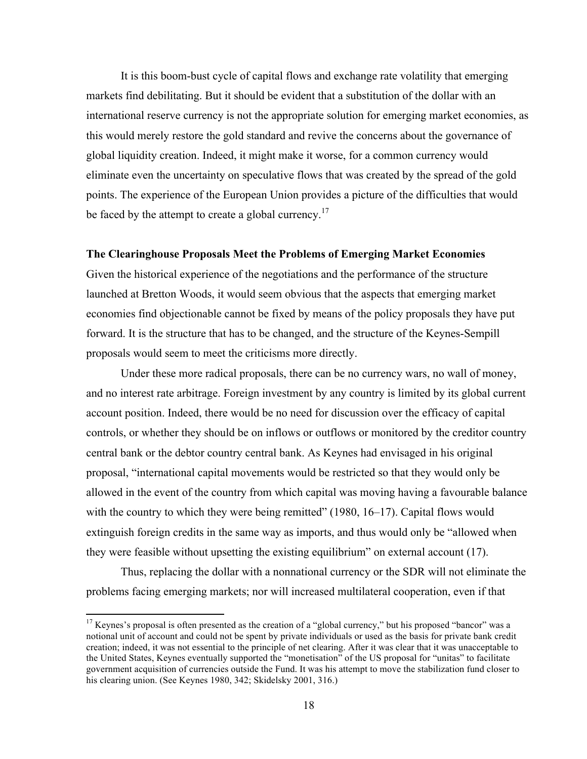It is this boom-bust cycle of capital flows and exchange rate volatility that emerging markets find debilitating. But it should be evident that a substitution of the dollar with an international reserve currency is not the appropriate solution for emerging market economies, as this would merely restore the gold standard and revive the concerns about the governance of global liquidity creation. Indeed, it might make it worse, for a common currency would eliminate even the uncertainty on speculative flows that was created by the spread of the gold points. The experience of the European Union provides a picture of the difficulties that would be faced by the attempt to create a global currency.<sup>17</sup>

#### **The Clearinghouse Proposals Meet the Problems of Emerging Market Economies**

Given the historical experience of the negotiations and the performance of the structure launched at Bretton Woods, it would seem obvious that the aspects that emerging market economies find objectionable cannot be fixed by means of the policy proposals they have put forward. It is the structure that has to be changed, and the structure of the Keynes-Sempill proposals would seem to meet the criticisms more directly.

Under these more radical proposals, there can be no currency wars, no wall of money, and no interest rate arbitrage. Foreign investment by any country is limited by its global current account position. Indeed, there would be no need for discussion over the efficacy of capital controls, or whether they should be on inflows or outflows or monitored by the creditor country central bank or the debtor country central bank. As Keynes had envisaged in his original proposal, "international capital movements would be restricted so that they would only be allowed in the event of the country from which capital was moving having a favourable balance with the country to which they were being remitted" (1980, 16–17). Capital flows would extinguish foreign credits in the same way as imports, and thus would only be "allowed when they were feasible without upsetting the existing equilibrium" on external account (17).

Thus, replacing the dollar with a nonnational currency or the SDR will not eliminate the problems facing emerging markets; nor will increased multilateral cooperation, even if that

 $17$  Keynes's proposal is often presented as the creation of a "global currency," but his proposed "bancor" was a notional unit of account and could not be spent by private individuals or used as the basis for private bank credit creation; indeed, it was not essential to the principle of net clearing. After it was clear that it was unacceptable to the United States, Keynes eventually supported the "monetisation" of the US proposal for "unitas" to facilitate government acquisition of currencies outside the Fund. It was his attempt to move the stabilization fund closer to his clearing union. (See Keynes 1980, 342; Skidelsky 2001, 316.)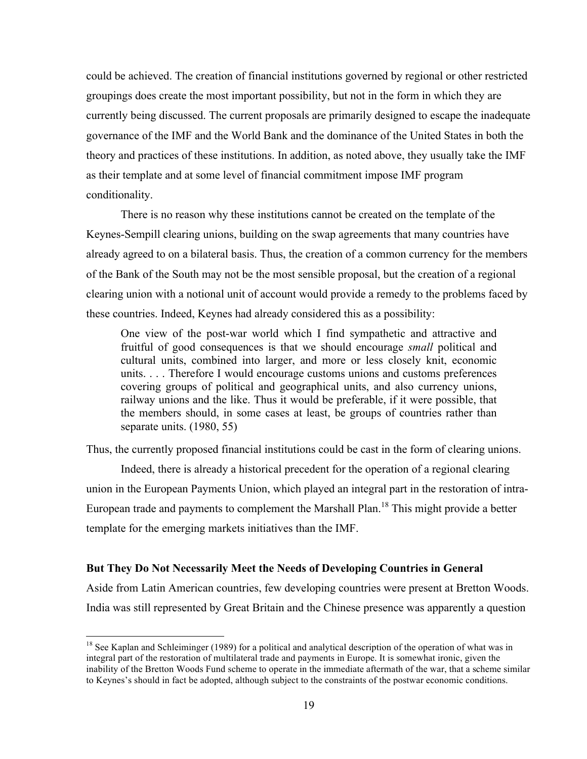could be achieved. The creation of financial institutions governed by regional or other restricted groupings does create the most important possibility, but not in the form in which they are currently being discussed. The current proposals are primarily designed to escape the inadequate governance of the IMF and the World Bank and the dominance of the United States in both the theory and practices of these institutions. In addition, as noted above, they usually take the IMF as their template and at some level of financial commitment impose IMF program conditionality.

There is no reason why these institutions cannot be created on the template of the Keynes-Sempill clearing unions, building on the swap agreements that many countries have already agreed to on a bilateral basis. Thus, the creation of a common currency for the members of the Bank of the South may not be the most sensible proposal, but the creation of a regional clearing union with a notional unit of account would provide a remedy to the problems faced by these countries. Indeed, Keynes had already considered this as a possibility:

One view of the post-war world which I find sympathetic and attractive and fruitful of good consequences is that we should encourage *small* political and cultural units, combined into larger, and more or less closely knit, economic units. . . . Therefore I would encourage customs unions and customs preferences covering groups of political and geographical units, and also currency unions, railway unions and the like. Thus it would be preferable, if it were possible, that the members should, in some cases at least, be groups of countries rather than separate units. (1980, 55)

Thus, the currently proposed financial institutions could be cast in the form of clearing unions.

Indeed, there is already a historical precedent for the operation of a regional clearing union in the European Payments Union, which played an integral part in the restoration of intra-European trade and payments to complement the Marshall Plan.<sup>18</sup> This might provide a better template for the emerging markets initiatives than the IMF.

### **But They Do Not Necessarily Meet the Needs of Developing Countries in General**

 

Aside from Latin American countries, few developing countries were present at Bretton Woods. India was still represented by Great Britain and the Chinese presence was apparently a question

<sup>&</sup>lt;sup>18</sup> See Kaplan and Schleiminger (1989) for a political and analytical description of the operation of what was in integral part of the restoration of multilateral trade and payments in Europe. It is somewhat ironic, given the inability of the Bretton Woods Fund scheme to operate in the immediate aftermath of the war, that a scheme similar to Keynes's should in fact be adopted, although subject to the constraints of the postwar economic conditions.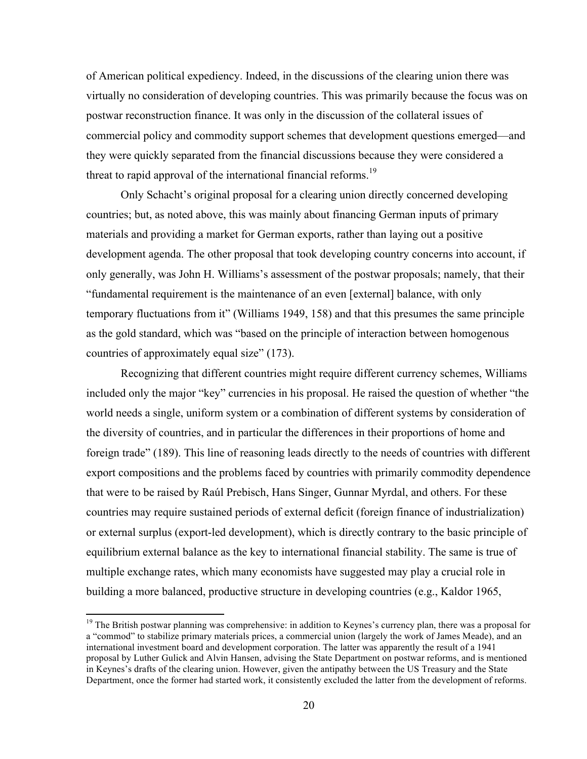of American political expediency. Indeed, in the discussions of the clearing union there was virtually no consideration of developing countries. This was primarily because the focus was on postwar reconstruction finance. It was only in the discussion of the collateral issues of commercial policy and commodity support schemes that development questions emerged—and they were quickly separated from the financial discussions because they were considered a threat to rapid approval of the international financial reforms.<sup>19</sup>

Only Schacht's original proposal for a clearing union directly concerned developing countries; but, as noted above, this was mainly about financing German inputs of primary materials and providing a market for German exports, rather than laying out a positive development agenda. The other proposal that took developing country concerns into account, if only generally, was John H. Williams's assessment of the postwar proposals; namely, that their "fundamental requirement is the maintenance of an even [external] balance, with only temporary fluctuations from it" (Williams 1949, 158) and that this presumes the same principle as the gold standard, which was "based on the principle of interaction between homogenous countries of approximately equal size" (173).

Recognizing that different countries might require different currency schemes, Williams included only the major "key" currencies in his proposal. He raised the question of whether "the world needs a single, uniform system or a combination of different systems by consideration of the diversity of countries, and in particular the differences in their proportions of home and foreign trade" (189). This line of reasoning leads directly to the needs of countries with different export compositions and the problems faced by countries with primarily commodity dependence that were to be raised by Raúl Prebisch, Hans Singer, Gunnar Myrdal, and others. For these countries may require sustained periods of external deficit (foreign finance of industrialization) or external surplus (export-led development), which is directly contrary to the basic principle of equilibrium external balance as the key to international financial stability. The same is true of multiple exchange rates, which many economists have suggested may play a crucial role in building a more balanced, productive structure in developing countries (e.g., Kaldor 1965,

 $19$  The British postwar planning was comprehensive: in addition to Keynes's currency plan, there was a proposal for a "commod" to stabilize primary materials prices, a commercial union (largely the work of James Meade), and an international investment board and development corporation. The latter was apparently the result of a 1941 proposal by Luther Gulick and Alvin Hansen, advising the State Department on postwar reforms, and is mentioned in Keynes's drafts of the clearing union. However, given the antipathy between the US Treasury and the State Department, once the former had started work, it consistently excluded the latter from the development of reforms.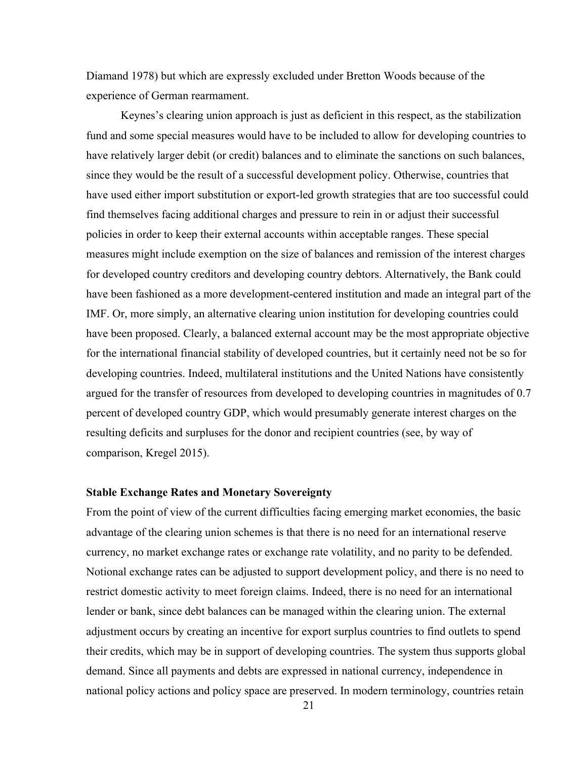Diamand 1978) but which are expressly excluded under Bretton Woods because of the experience of German rearmament.

Keynes's clearing union approach is just as deficient in this respect, as the stabilization fund and some special measures would have to be included to allow for developing countries to have relatively larger debit (or credit) balances and to eliminate the sanctions on such balances, since they would be the result of a successful development policy. Otherwise, countries that have used either import substitution or export-led growth strategies that are too successful could find themselves facing additional charges and pressure to rein in or adjust their successful policies in order to keep their external accounts within acceptable ranges. These special measures might include exemption on the size of balances and remission of the interest charges for developed country creditors and developing country debtors. Alternatively, the Bank could have been fashioned as a more development-centered institution and made an integral part of the IMF. Or, more simply, an alternative clearing union institution for developing countries could have been proposed. Clearly, a balanced external account may be the most appropriate objective for the international financial stability of developed countries, but it certainly need not be so for developing countries. Indeed, multilateral institutions and the United Nations have consistently argued for the transfer of resources from developed to developing countries in magnitudes of 0.7 percent of developed country GDP, which would presumably generate interest charges on the resulting deficits and surpluses for the donor and recipient countries (see, by way of comparison, Kregel 2015).

# **Stable Exchange Rates and Monetary Sovereignty**

From the point of view of the current difficulties facing emerging market economies, the basic advantage of the clearing union schemes is that there is no need for an international reserve currency, no market exchange rates or exchange rate volatility, and no parity to be defended. Notional exchange rates can be adjusted to support development policy, and there is no need to restrict domestic activity to meet foreign claims. Indeed, there is no need for an international lender or bank, since debt balances can be managed within the clearing union. The external adjustment occurs by creating an incentive for export surplus countries to find outlets to spend their credits, which may be in support of developing countries. The system thus supports global demand. Since all payments and debts are expressed in national currency, independence in national policy actions and policy space are preserved. In modern terminology, countries retain

21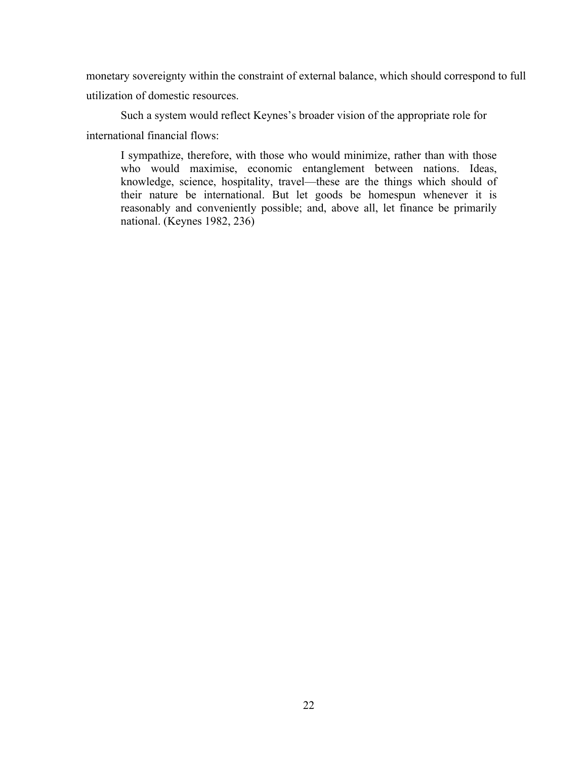monetary sovereignty within the constraint of external balance, which should correspond to full utilization of domestic resources.

Such a system would reflect Keynes's broader vision of the appropriate role for international financial flows:

I sympathize, therefore, with those who would minimize, rather than with those who would maximise, economic entanglement between nations. Ideas, knowledge, science, hospitality, travel—these are the things which should of their nature be international. But let goods be homespun whenever it is reasonably and conveniently possible; and, above all, let finance be primarily national. (Keynes 1982, 236)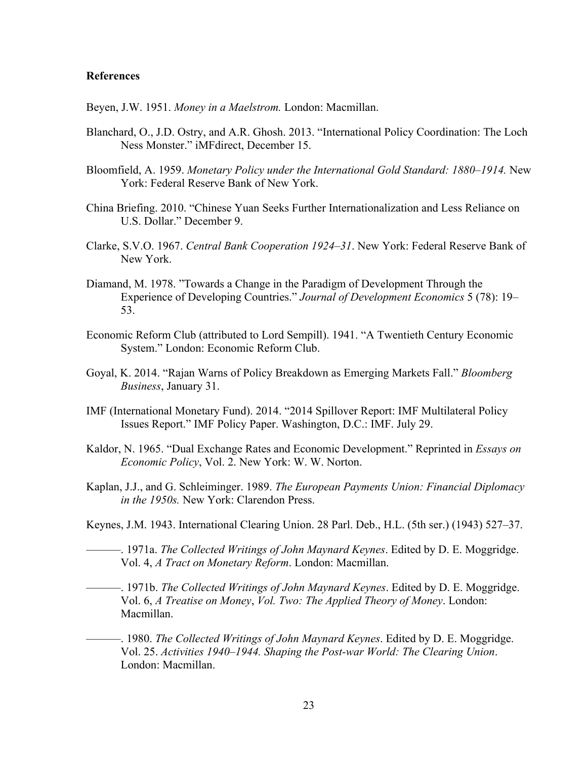## **References**

Beyen, J.W. 1951. *Money in a Maelstrom.* London: Macmillan.

- Blanchard, O., J.D. Ostry, and A.R. Ghosh. 2013. "International Policy Coordination: The Loch Ness Monster." iMFdirect, December 15.
- Bloomfield, A. 1959. *Monetary Policy under the International Gold Standard: 1880–1914.* New York: Federal Reserve Bank of New York.
- China Briefing. 2010. "Chinese Yuan Seeks Further Internationalization and Less Reliance on U.S. Dollar." December 9.
- Clarke, S.V.O. 1967. *Central Bank Cooperation 1924–31*. New York: Federal Reserve Bank of New York.
- Diamand, M. 1978. "Towards a Change in the Paradigm of Development Through the Experience of Developing Countries." *Journal of Development Economics* 5 (78): 19– 53.
- Economic Reform Club (attributed to Lord Sempill). 1941. "A Twentieth Century Economic System." London: Economic Reform Club.
- Goyal, K. 2014. "Rajan Warns of Policy Breakdown as Emerging Markets Fall." *Bloomberg Business*, January 31.
- IMF (International Monetary Fund). 2014. "2014 Spillover Report: IMF Multilateral Policy Issues Report." IMF Policy Paper. Washington, D.C.: IMF. July 29.
- Kaldor, N. 1965. "Dual Exchange Rates and Economic Development." Reprinted in *Essays on Economic Policy*, Vol. 2. New York: W. W. Norton.
- Kaplan, J.J., and G. Schleiminger. 1989. *The European Payments Union: Financial Diplomacy in the 1950s.* New York: Clarendon Press.
- Keynes, J.M. 1943. International Clearing Union. 28 Parl. Deb., H.L. (5th ser.) (1943) 527–37.
- ———. 1971a. *The Collected Writings of John Maynard Keynes*. Edited by D. E. Moggridge. Vol. 4, *A Tract on Monetary Reform*. London: Macmillan.
- ———. 1971b. *The Collected Writings of John Maynard Keynes*. Edited by D. E. Moggridge. Vol. 6, *A Treatise on Money*, *Vol. Two: The Applied Theory of Money*. London: Macmillan.
- ———. 1980. *The Collected Writings of John Maynard Keynes*. Edited by D. E. Moggridge. Vol. 25. *Activities 1940–1944. Shaping the Post-war World: The Clearing Union*. London: Macmillan.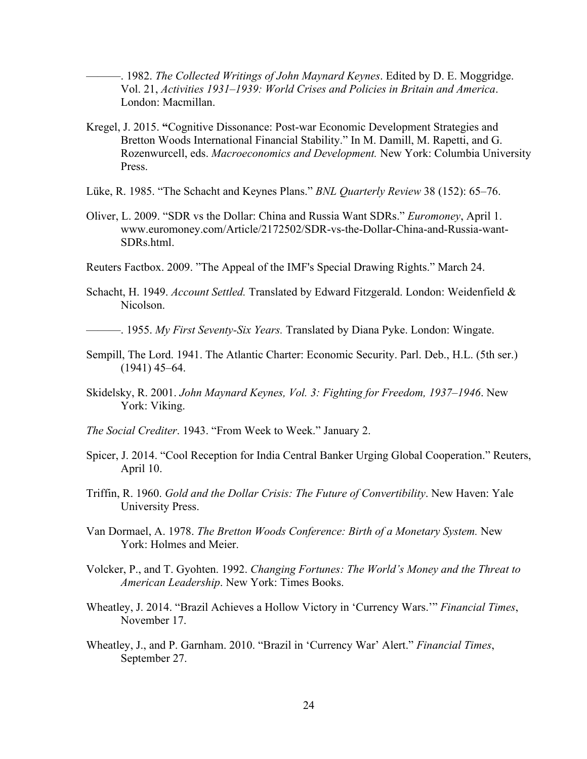———. 1982. *The Collected Writings of John Maynard Keynes*. Edited by D. E. Moggridge. Vol. 21, *Activities 1931–1939: World Crises and Policies in Britain and America*. London: Macmillan.

- Kregel, J. 2015. **"**Cognitive Dissonance: Post-war Economic Development Strategies and Bretton Woods International Financial Stability." In M. Damill, M. Rapetti, and G. Rozenwurcell, eds. *Macroeconomics and Development.* New York: Columbia University Press.
- Lüke, R. 1985. "The Schacht and Keynes Plans." *BNL Quarterly Review* 38 (152): 65–76.
- Oliver, L. 2009. "SDR vs the Dollar: China and Russia Want SDRs." *Euromoney*, April 1. www.euromoney.com/Article/2172502/SDR-vs-the-Dollar-China-and-Russia-want-SDRs.html.
- Reuters Factbox. 2009. "The Appeal of the IMF's Special Drawing Rights." March 24.
- Schacht, H. 1949. *Account Settled.* Translated by Edward Fitzgerald. London: Weidenfield & Nicolson.
- ———. 1955. *My First Seventy-Six Years.* Translated by Diana Pyke. London: Wingate.
- Sempill, The Lord. 1941. The Atlantic Charter: Economic Security. Parl. Deb., H.L. (5th ser.) (1941) 45–64.
- Skidelsky, R. 2001. *John Maynard Keynes, Vol. 3: Fighting for Freedom, 1937–1946*. New York: Viking.
- *The Social Crediter*. 1943. "From Week to Week." January 2.
- Spicer, J. 2014. "Cool Reception for India Central Banker Urging Global Cooperation." Reuters, April 10.
- Triffin, R. 1960. *Gold and the Dollar Crisis: The Future of Convertibility*. New Haven: Yale University Press.
- Van Dormael, A. 1978. *The Bretton Woods Conference: Birth of a Monetary System.* New York: Holmes and Meier.
- Volcker, P., and T. Gyohten. 1992. *Changing Fortunes: The World's Money and the Threat to American Leadership*. New York: Times Books.
- Wheatley, J. 2014. "Brazil Achieves a Hollow Victory in 'Currency Wars.'" *Financial Times*, November 17.
- Wheatley, J., and P. Garnham. 2010. "Brazil in 'Currency War' Alert." *Financial Times*, September 27.